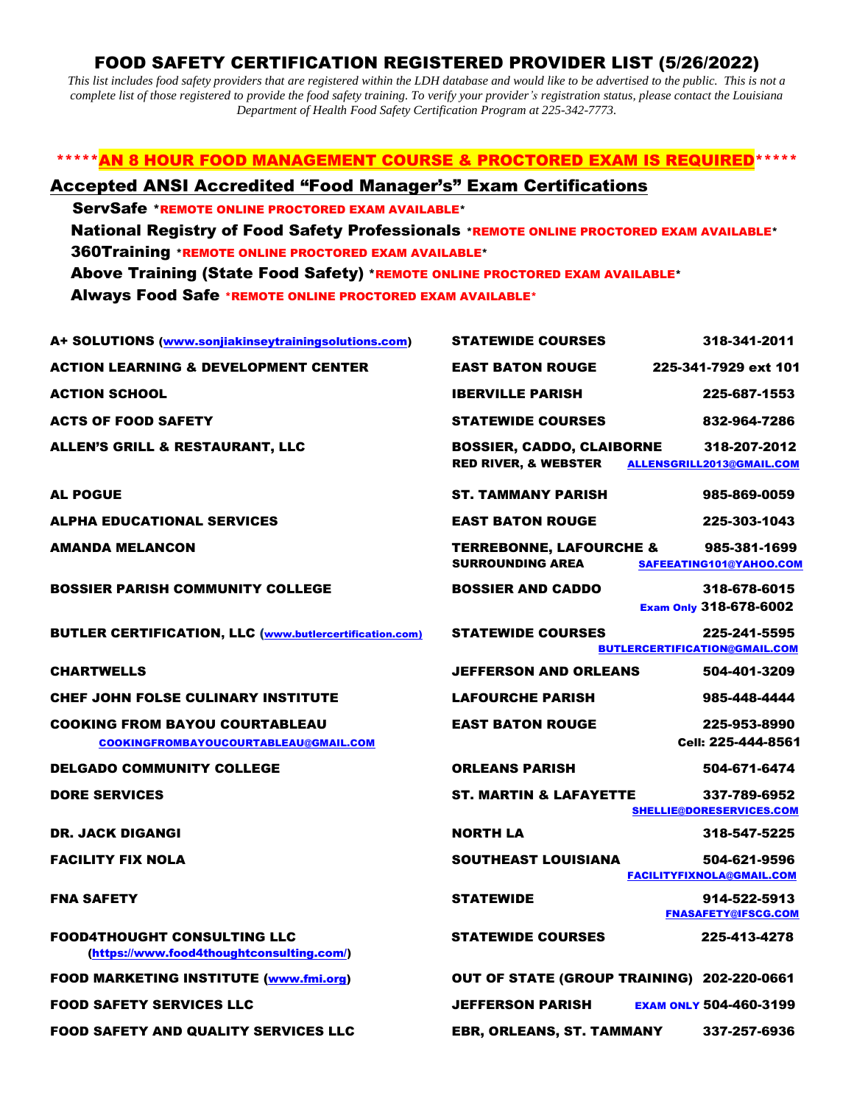## FOOD SAFETY CERTIFICATION REGISTERED PROVIDER LIST (5/26/2022)

*This list includes food safety providers that are registered within the LDH database and would like to be advertised to the public. This is not a complete list of those registered to provide the food safety training. To verify your provider's registration status, please contact the Louisiana Department of Health Food Safety Certification Program at 225-342-7773.*

## \*<mark>AN 8 HOUR FOOD MANAGEMENT COURSE & PROCTORED EXAM IS REQUIRED</mark>

## Accepted ANSI Accredited "Food Manager's" Exam Certifications

 ServSafe \*REMOTE ONLINE PROCTORED EXAM AVAILABLE\* National Registry of Food Safety Professionals \*REMOTE ONLINE PROCTORED EXAM AVAILABLE\* 360Training \*REMOTE ONLINE PROCTORED EXAM AVAILABLE\* Above Training (State Food Safety) \*REMOTE ONLINE PROCTORED EXAM AVAILABLE\* Always Food Safe \*REMOTE ONLINE PROCTORED EXAM AVAILABLE\*

| A+ SOLUTIONS (www.sonjiakinseytrainingsolutions.com)                                  | <b>STATEWIDE COURSES</b>                                            | 318-341-2011                                     |
|---------------------------------------------------------------------------------------|---------------------------------------------------------------------|--------------------------------------------------|
| <b>ACTION LEARNING &amp; DEVELOPMENT CENTER</b>                                       | <b>EAST BATON ROUGE</b>                                             | 225-341-7929 ext 101                             |
| <b>ACTION SCHOOL</b>                                                                  | <b>IBERVILLE PARISH</b>                                             | 225-687-1553                                     |
| <b>ACTS OF FOOD SAFETY</b>                                                            | <b>STATEWIDE COURSES</b>                                            | 832-964-7286                                     |
| <b>ALLEN'S GRILL &amp; RESTAURANT, LLC</b>                                            | <b>BOSSIER, CADDO, CLAIBORNE</b><br><b>RED RIVER, &amp; WEBSTER</b> | 318-207-2012<br>ALLENSGRILL2013@GMAIL.COM        |
| <b>AL POGUE</b>                                                                       | <b>ST. TAMMANY PARISH</b>                                           | 985-869-0059                                     |
| <b>ALPHA EDUCATIONAL SERVICES</b>                                                     | <b>EAST BATON ROUGE</b>                                             | 225-303-1043                                     |
| <b>AMANDA MELANCON</b>                                                                | TERREBONNE, LAFOURCHE &<br><b>SURROUNDING AREA</b>                  | 985-381-1699<br>SAFEEATING101@YAHOO.COM          |
| <b>BOSSIER PARISH COMMUNITY COLLEGE</b>                                               | <b>BOSSIER AND CADDO</b>                                            | 318-678-6015<br><b>Exam Only 318-678-6002</b>    |
| BUTLER CERTIFICATION, LLC (www.butlercertification.com)                               | <b>STATEWIDE COURSES</b>                                            | 225-241-5595<br>BUTLERCERTIFICATION@GMAIL.COM    |
| <b>CHARTWELLS</b>                                                                     | <b>JEFFERSON AND ORLEANS</b>                                        | 504-401-3209                                     |
| <b>CHEF JOHN FOLSE CULINARY INSTITUTE</b>                                             | <b>LAFOURCHE PARISH</b>                                             | 985-448-4444                                     |
| <b>COOKING FROM BAYOU COURTABLEAU</b><br><b>COOKINGFROMBAYOUCOURTABLEAU@GMAIL.COM</b> | <b>EAST BATON ROUGE</b>                                             | 225-953-8990<br>Cell: 225-444-8561               |
| <b>DELGADO COMMUNITY COLLEGE</b>                                                      | <b>ORLEANS PARISH</b>                                               | 504-671-6474                                     |
| <b>DORE SERVICES</b>                                                                  | <b>ST. MARTIN &amp; LAFAYETTE</b>                                   | 337-789-6952<br>SHELLIE@DORESERVICES.COM         |
| <b>DR. JACK DIGANGI</b>                                                               | <b>NORTH LA</b>                                                     | 318-547-5225                                     |
| <b>FACILITY FIX NOLA</b>                                                              | <b>SOUTHEAST LOUISIANA</b>                                          | 504-621-9596<br><b>FACILITYFIXNOLA@GMAIL.COM</b> |
| <b>FNA SAFETY</b>                                                                     | <b>STATEWIDE</b>                                                    | 914-522-5913<br><b>FNASAFETY@IFSCG.COM</b>       |
| <b>FOOD4THOUGHT CONSULTING LLC</b><br>(https://www.food4thoughtconsulting.com/)       | <b>STATEWIDE COURSES</b>                                            | 225-413-4278                                     |
| <b>FOOD MARKETING INSTITUTE (www.fmi.org)</b>                                         | OUT OF STATE (GROUP TRAINING) 202-220-0661                          |                                                  |
| <b>FOOD SAFETY SERVICES LLC</b>                                                       | <b>JEFFERSON PARISH</b>                                             | <b>EXAM ONLY 504-460-3199</b>                    |
| <b>FOOD SAFETY AND QUALITY SERVICES LLC</b>                                           | <b>EBR, ORLEANS, ST. TAMMANY</b>                                    | 337-257-6936                                     |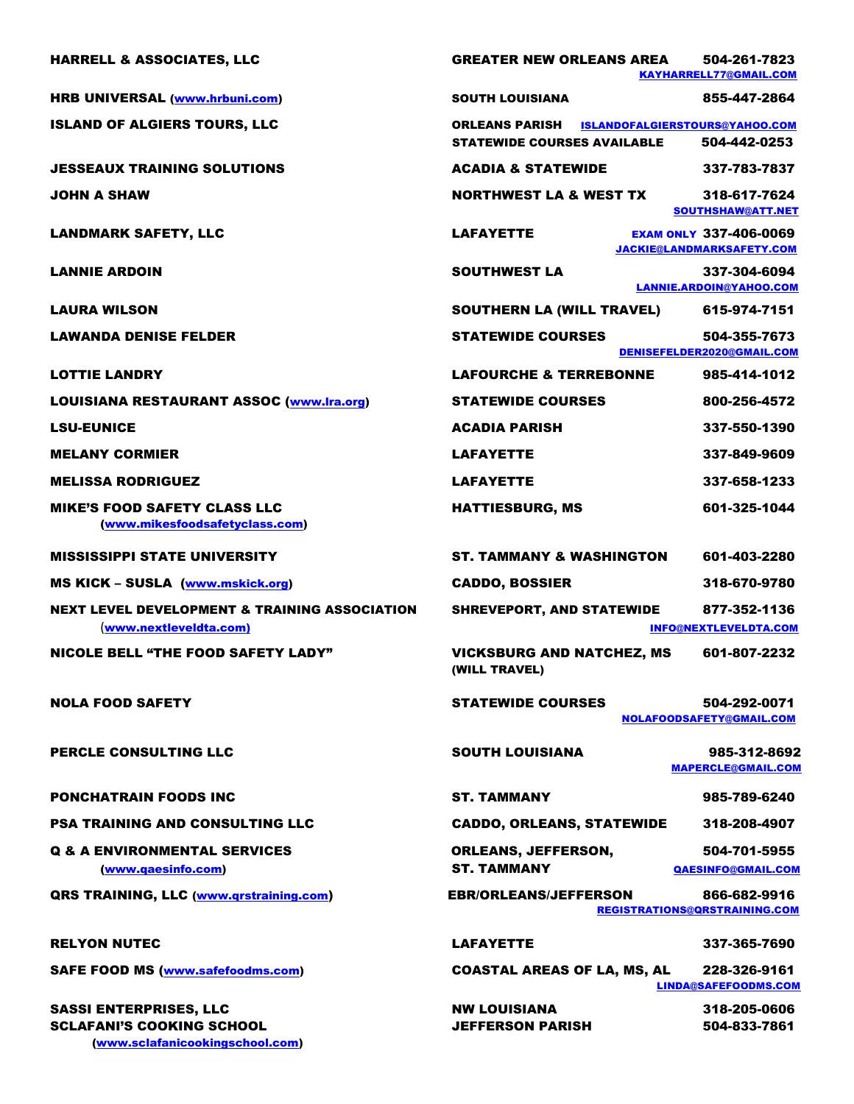| <b>HARRELL &amp; ASSOCIATES, LLC</b>                                                                 | <b>GREATER NEW ORLEANS AREA</b>                                                            | 504-261-7823<br><b>KAYHARRELL77@GMAIL.COM</b>                     |
|------------------------------------------------------------------------------------------------------|--------------------------------------------------------------------------------------------|-------------------------------------------------------------------|
| <b>HRB UNIVERSAL (www.hrbuni.com)</b>                                                                | <b>SOUTH LOUISIANA</b>                                                                     | 855-447-2864                                                      |
| <b>ISLAND OF ALGIERS TOURS, LLC</b>                                                                  | <b>ORLEANS PARISH ISLANDOFALGIERSTOURS@YAHOO.COM</b><br><b>STATEWIDE COURSES AVAILABLE</b> | 504-442-0253                                                      |
| <b>JESSEAUX TRAINING SOLUTIONS</b>                                                                   | <b>ACADIA &amp; STATEWIDE</b>                                                              | 337-783-7837                                                      |
| <b>JOHN A SHAW</b>                                                                                   | <b>NORTHWEST LA &amp; WEST TX</b>                                                          | 318-617-7624<br><b>SOUTHSHAW@ATT.NET</b>                          |
| <b>LANDMARK SAFETY, LLC</b>                                                                          | <b>LAFAYETTE</b>                                                                           | <b>EXAM ONLY 337-406-0069</b><br><b>JACKIE@LANDMARKSAFETY.COM</b> |
| <b>LANNIE ARDOIN</b>                                                                                 | <b>SOUTHWEST LA</b>                                                                        | 337-304-6094<br>LANNIE.ARDOIN@YAHOO.COM                           |
| <b>LAURA WILSON</b>                                                                                  | <b>SOUTHERN LA (WILL TRAVEL)</b>                                                           | 615-974-7151                                                      |
| <b>LAWANDA DENISE FELDER</b>                                                                         | <b>STATEWIDE COURSES</b>                                                                   | 504-355-7673<br>DENISEFELDER2020@GMAIL.COM                        |
| <b>LOTTIE LANDRY</b>                                                                                 | <b>LAFOURCHE &amp; TERREBONNE</b>                                                          | 985-414-1012                                                      |
| <b>LOUISIANA RESTAURANT ASSOC (www.lra.org)</b>                                                      | <b>STATEWIDE COURSES</b>                                                                   | 800-256-4572                                                      |
| <b>LSU-EUNICE</b>                                                                                    | <b>ACADIA PARISH</b>                                                                       | 337-550-1390                                                      |
| <b>MELANY CORMIER</b>                                                                                | <b>LAFAYETTE</b>                                                                           | 337-849-9609                                                      |
| <b>MELISSA RODRIGUEZ</b>                                                                             | <b>LAFAYETTE</b>                                                                           | 337-658-1233                                                      |
| <b>MIKE'S FOOD SAFETY CLASS LLC</b><br>(www.mikesfoodsafetyclass.com)                                | <b>HATTIESBURG, MS</b>                                                                     | 601-325-1044                                                      |
| <b>MISSISSIPPI STATE UNIVERSITY</b>                                                                  | <b>ST. TAMMANY &amp; WASHINGTON</b>                                                        | 601-403-2280                                                      |
| MS KICK - SUSLA (www.mskick.org)                                                                     | <b>CADDO, BOSSIER</b>                                                                      | 318-670-9780                                                      |
| <b>NEXT LEVEL DEVELOPMENT &amp; TRAINING ASSOCIATION</b><br>(www.nextleveldta.com)                   | <b>SHREVEPORT, AND STATEWIDE</b>                                                           | 877-352-1136<br><b>INFO@NEXTLEVELDTA.COM</b>                      |
| <b>NICOLE BELL "THE FOOD SAFETY LADY"</b>                                                            | <b>VICKSBURG AND NATCHEZ, MS</b><br>(WILL TRAVEL)                                          | 601-807-2232                                                      |
| <b>NOLA FOOD SAFETY</b>                                                                              | <b>STATEWIDE COURSES</b>                                                                   | 504-292-0071<br>NOLAFOODSAFETY@GMAIL.COM                          |
| <b>PERCLE CONSULTING LLC</b>                                                                         | <b>SOUTH LOUISIANA</b>                                                                     | 985-312-8692<br><b>MAPERCLE@GMAIL.COM</b>                         |
| <b>PONCHATRAIN FOODS INC</b>                                                                         | <b>ST. TAMMANY</b>                                                                         | 985-789-6240                                                      |
| PSA TRAINING AND CONSULTING LLC                                                                      | <b>CADDO, ORLEANS, STATEWIDE</b>                                                           | 318-208-4907                                                      |
| <b>Q &amp; A ENVIRONMENTAL SERVICES</b><br>(www.qaesinfo.com)                                        | <b>ORLEANS, JEFFERSON,</b><br><b>ST. TAMMANY</b>                                           | 504-701-5955<br>QAESINFO@GMAIL.COM                                |
| <b>QRS TRAINING, LLC (www.grstraining.com)</b>                                                       | <b>EBR/ORLEANS/JEFFERSON</b>                                                               | 866-682-9916<br>REGISTRATIONS@QRSTRAINING.COM                     |
| <b>RELYON NUTEC</b>                                                                                  | <b>LAFAYETTE</b>                                                                           | 337-365-7690                                                      |
| <b>SAFE FOOD MS (www.safefoodms.com)</b>                                                             | <b>COASTAL AREAS OF LA, MS, AL</b>                                                         | 228-326-9161<br>LINDA@SAFEFOODMS.COM                              |
| <b>SASSI ENTERPRISES, LLC</b><br><b>SCLAFANI'S COOKING SCHOOL</b><br>(www.sclafanicookingschool.com) | <b>NW LOUISIANA</b><br><b>JEFFERSON PARISH</b>                                             | 318-205-0606<br>504-833-7861                                      |